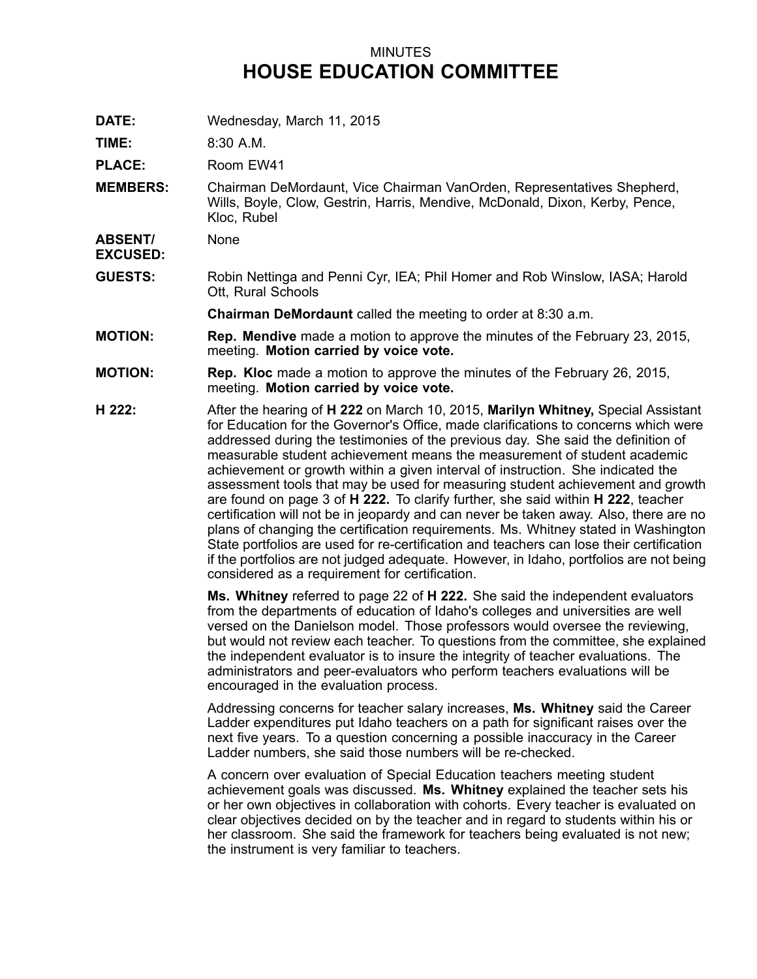## MINUTES **HOUSE EDUCATION COMMITTEE**

**DATE:** Wednesday, March 11, 2015

**TIME:** 8:30 A.M.

**PLACE:** Room EW41

**MEMBERS:** Chairman DeMordaunt, Vice Chairman VanOrden, Representatives Shepherd, Wills, Boyle, Clow, Gestrin, Harris, Mendive, McDonald, Dixon, Kerby, Pence, Kloc, Rubel

**ABSENT/ EXCUSED:** None

**GUESTS:** Robin Nettinga and Penni Cyr, IEA; Phil Homer and Rob Winslow, IASA; Harold Ott, Rural Schools

**Chairman DeMordaunt** called the meeting to order at 8:30 a.m.

- **MOTION: Rep. Mendive** made <sup>a</sup> motion to approve the minutes of the February 23, 2015, meeting. **Motion carried by voice vote.**
- **MOTION: Rep. Kloc** made <sup>a</sup> motion to approve the minutes of the February 26, 2015, meeting. **Motion carried by voice vote.**
- **H 222:** After the hearing of **H 222** on March 10, 2015, **Marilyn Whitney,** Special Assistant for Education for the Governor's Office, made clarifications to concerns which were addressed during the testimonies of the previous day. She said the definition of measurable student achievement means the measurement of student academic achievement or growth within <sup>a</sup> given interval of instruction. She indicated the assessment tools that may be used for measuring student achievement and growth are found on page 3 of **H 222.** To clarify further, she said within **H 222**, teacher certification will not be in jeopardy and can never be taken away. Also, there are no plans of changing the certification requirements. Ms. Whitney stated in Washington State portfolios are used for re-certification and teachers can lose their certification if the portfolios are not judged adequate. However, in Idaho, portfolios are not being considered as <sup>a</sup> requirement for certification.

**Ms. Whitney** referred to page 22 of **H 222.** She said the independent evaluators from the departments of education of Idaho's colleges and universities are well versed on the Danielson model. Those professors would oversee the reviewing, but would not review each teacher. To questions from the committee, she explained the independent evaluator is to insure the integrity of teacher evaluations. The administrators and peer-evaluators who perform teachers evaluations will be encouraged in the evaluation process.

Addressing concerns for teacher salary increases, **Ms. Whitney** said the Career Ladder expenditures put Idaho teachers on <sup>a</sup> path for significant raises over the next five years. To <sup>a</sup> question concerning <sup>a</sup> possible inaccuracy in the Career Ladder numbers, she said those numbers will be re-checked.

A concern over evaluation of Special Education teachers meeting student achievement goals was discussed. **Ms. Whitney** explained the teacher sets his or her own objectives in collaboration with cohorts. Every teacher is evaluated on clear objectives decided on by the teacher and in regard to students within his or her classroom. She said the framework for teachers being evaluated is not new; the instrument is very familiar to teachers.